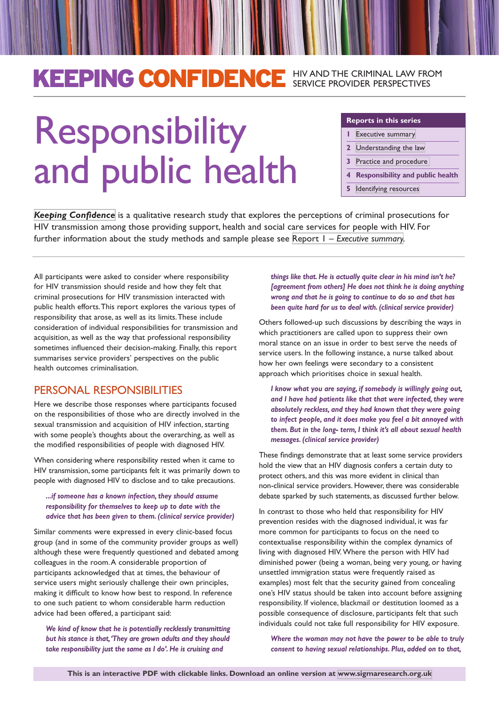## KEEPING CONFIDENCE HIV AND THE CRIMINAL LAW FROM SERVICE PROVIDER PERSPECTIVES

# Responsibility and public health

#### **Reports in this series**

- **1** [Executive summary](http://sigmaresearch.org.uk/files/kc1-executive-summary.pdf)
- **2** [Understanding the law](http://sigmaresearch.org.uk/files/kc2-understanding-law.pdf)
- **3** [Practice and procedure](http://sigmaresearch.org.uk/files/kc3-practice-procedure.pdf)
- **4 Responsibility and public health**
- **5** [Identifying resources](http://sigmaresearch.org.uk/files/kc5-identifying-resources.pdf)

*[Keeping Confidence](http://sigmaresearch.org.uk/go.php?/projects/policy/project55/)* is a qualitative research study that explores the perceptions of criminal prosecutions for HIV transmission among those providing support, health and social care services for people with HIV. For further information about the study methods and sample please see Report 1 – *[Executive summary](http://sigmaresearch.org.uk/files/kc1-executive-summary.pdf).*

All participants were asked to consider where responsibility for HIV transmission should reside and how they felt that criminal prosecutions for HIV transmission interacted with public health efforts. This report explores the various types of responsibility that arose, as well as its limits. These include consideration of individual responsibilities for transmission and acquisition, as well as the way that professional responsibility sometimes influenced their decision-making. Finally, this report summarises service providers' perspectives on the public health outcomes criminalisation.

### PERSONAL RESPONSIBILITIES

Here we describe those responses where participants focused on the responsibilities of those who are directly involved in the sexual transmission and acquisition of HIV infection, starting with some people's thoughts about the overarching, as well as the modified responsibilities of people with diagnosed HIV.

When considering where responsibility rested when it came to HIV transmission, some participants felt it was primarily down to people with diagnosed HIV to disclose and to take precautions.

#### *...if someone has a known infection, they should assume responsibility for themselves to keep up to date with the advice that has been given to them. (clinical service provider)*

Similar comments were expressed in every clinic-based focus group (and in some of the community provider groups as well) although these were frequently questioned and debated among colleagues in the room. A considerable proportion of participants acknowledged that at times, the behaviour of service users might seriously challenge their own principles, making it difficult to know how best to respond. In reference to one such patient to whom considerable harm reduction advice had been offered, a participant said:

*We kind of know that he is potentially recklessly transmitting but his stance is that, 'They are grown adults and they should take responsibility just the same as I do'. He is cruising and* 

*things like that. He is actually quite clear in his mind isn't he? [agreement from others] He does not think he is doing anything wrong and that he is going to continue to do so and that has been quite hard for us to deal with. (clinical service provider)*

Others followed-up such discussions by describing the ways in which practitioners are called upon to suppress their own moral stance on an issue in order to best serve the needs of service users. In the following instance, a nurse talked about how her own feelings were secondary to a consistent approach which prioritises choice in sexual health.

*I know what you are saying, if somebody is willingly going out, and I have had patients like that that were infected, they were absolutely reckless, and they had known that they were going to infect people, and it does make you feel a bit annoyed with them. But in the long- term, I think it's all about sexual health messages. (clinical service provider)*

These findings demonstrate that at least some service providers hold the view that an HIV diagnosis confers a certain duty to protect others, and this was more evident in clinical than non-clinical service providers. However, there was considerable debate sparked by such statements, as discussed further below.

In contrast to those who held that responsibility for HIV prevention resides with the diagnosed individual, it was far more common for participants to focus on the need to contextualise responsibility within the complex dynamics of living with diagnosed HIV. Where the person with HIV had diminished power (being a woman, being very young, or having unsettled immigration status were frequently raised as examples) most felt that the security gained from concealing one's HIV status should be taken into account before assigning responsibility. If violence, blackmail or destitution loomed as a possible consequence of disclosure, participants felt that such individuals could not take full responsibility for HIV exposure.

*Where the woman may not have the power to be able to truly consent to having sexual relationships. Plus, added on to that,*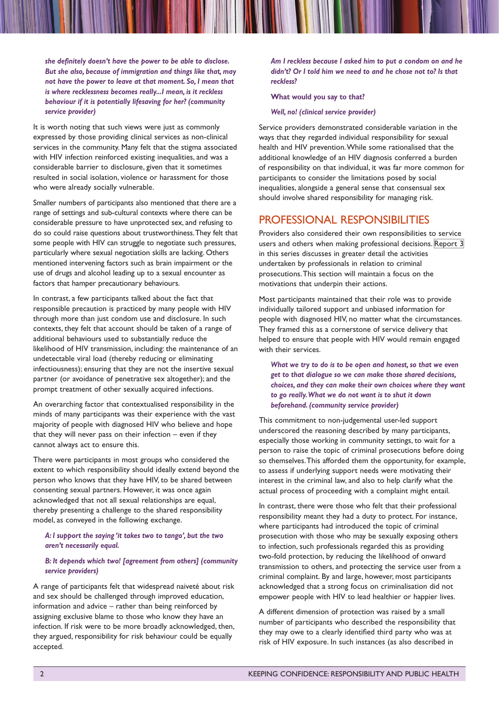*she definitely doesn't have the power to be able to disclose. But she also, because of immigration and things like that, may not have the power to leave at that moment. So, I mean that is where recklessness becomes really...I mean, is it reckless behaviour if it is potentially lifesaving for her? (community service provider)*

It is worth noting that such views were just as commonly expressed by those providing clinical services as non-clinical services in the community. Many felt that the stigma associated with HIV infection reinforced existing inequalities, and was a considerable barrier to disclosure, given that it sometimes resulted in social isolation, violence or harassment for those who were already socially vulnerable.

Smaller numbers of participants also mentioned that there are a range of settings and sub-cultural contexts where there can be considerable pressure to have unprotected sex, and refusing to do so could raise questions about trustworthiness. They felt that some people with HIV can struggle to negotiate such pressures, particularly where sexual negotiation skills are lacking. Others mentioned intervening factors such as brain impairment or the use of drugs and alcohol leading up to a sexual encounter as factors that hamper precautionary behaviours.

In contrast, a few participants talked about the fact that responsible precaution is practiced by many people with HIV through more than just condom use and disclosure. In such contexts, they felt that account should be taken of a range of additional behaviours used to substantially reduce the likelihood of HIV transmission, including: the maintenance of an undetectable viral load (thereby reducing or eliminating infectiousness); ensuring that they are not the insertive sexual partner (or avoidance of penetrative sex altogether); and the prompt treatment of other sexually acquired infections.

An overarching factor that contextualised responsibility in the minds of many participants was their experience with the vast majority of people with diagnosed HIV who believe and hope that they will never pass on their infection – even if they cannot always act to ensure this.

There were participants in most groups who considered the extent to which responsibility should ideally extend beyond the person who knows that they have HIV, to be shared between consenting sexual partners. However, it was once again acknowledged that not all sexual relationships are equal, thereby presenting a challenge to the shared responsibility model, as conveyed in the following exchange.

#### *A: I support the saying 'it takes two to tango', but the two aren't necessarily equal.*

#### *B: It depends which two! [agreement from others] (community service providers)*

A range of participants felt that widespread naiveté about risk and sex should be challenged through improved education, information and advice – rather than being reinforced by assigning exclusive blame to those who know they have an infection. If risk were to be more broadly acknowledged, then, they argued, responsibility for risk behaviour could be equally accepted.

*Am I reckless because I asked him to put a condom on and he didn't? Or I told him we need to and he chose not to? Is that reckless?*

#### **What would you say to that?**

*Well, no! (clinical service provider)*

Service providers demonstrated considerable variation in the ways that they regarded individual responsibility for sexual health and HIV prevention. While some rationalised that the additional knowledge of an HIV diagnosis conferred a burden of responsibility on that individual, it was far more common for participants to consider the limitations posed by social inequalities, alongside a general sense that consensual sex should involve shared responsibility for managing risk.

#### PROFESSIONAL RESPONSIBILITIES

Providers also considered their own responsibilities to service users and others when making professional decisions. [Report 3](http://sigmaresearch.org.uk/files/kc3-practice-procedure.pdf) in this series discusses in greater detail the activities undertaken by professionals in relation to criminal prosecutions. This section will maintain a focus on the motivations that underpin their actions.

Most participants maintained that their role was to provide individually tailored support and unbiased information for people with diagnosed HIV, no matter what the circumstances. They framed this as a cornerstone of service delivery that helped to ensure that people with HIV would remain engaged with their services.

*What we try to do is to be open and honest, so that we even get to that dialogue so we can make those shared decisions, choices, and they can make their own choices where they want to go really. What we do not want is to shut it down beforehand. (community service provider)*

This commitment to non-judgemental user-led support underscored the reasoning described by many participants, especially those working in community settings, to wait for a person to raise the topic of criminal prosecutions before doing so themselves. This afforded them the opportunity, for example, to assess if underlying support needs were motivating their interest in the criminal law, and also to help clarify what the actual process of proceeding with a complaint might entail.

In contrast, there were those who felt that their professional responsibility meant they had a duty to protect. For instance, where participants had introduced the topic of criminal prosecution with those who may be sexually exposing others to infection, such professionals regarded this as providing two-fold protection, by reducing the likelihood of onward transmission to others, and protecting the service user from a criminal complaint. By and large, however, most participants acknowledged that a strong focus on criminalisation did not empower people with HIV to lead healthier or happier lives.

A different dimension of protection was raised by a small number of participants who described the responsibility that they may owe to a clearly identified third party who was at risk of HIV exposure. In such instances (as also described in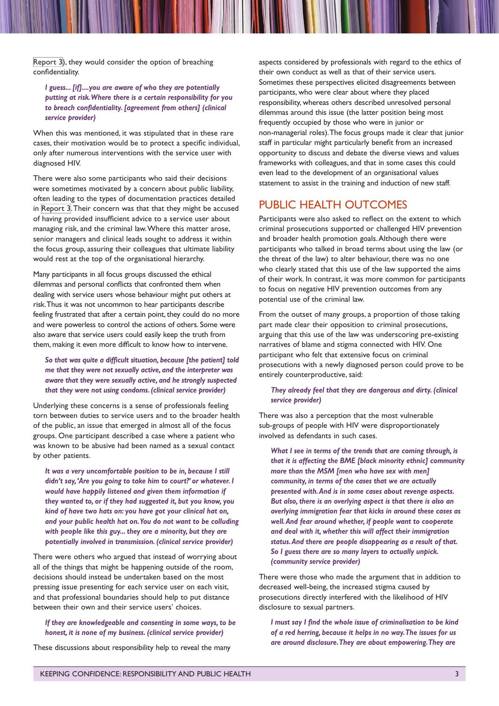[Report 3\)](http://sigmaresearch.org.uk/files/kc3-practice-procedure.pdf), they would consider the option of breaching confidentiality.

#### *I guess... [if]....you are aware of who they are potentially putting at risk. Where there is a certain responsibility for you to breach confidentiality. [agreement from others] (clinical service provider)*

When this was mentioned, it was stipulated that in these rare cases, their motivation would be to protect a specific individual, only after numerous interventions with the service user with diagnosed HIV.

There were also some participants who said their decisions were sometimes motivated by a concern about public liability, often leading to the types of documentation practices detailed in [Report 3](http://sigmaresearch.org.uk/files/kc3-practice-procedure.pdf). Their concern was that that they might be accused of having provided insufficient advice to a service user about managing risk, and the criminal law. Where this matter arose, senior managers and clinical leads sought to address it within the focus group, assuring their colleagues that ultimate liability would rest at the top of the organisational hierarchy.

Many participants in all focus groups discussed the ethical dilemmas and personal conflicts that confronted them when dealing with service users whose behaviour might put others at risk. Thus it was not uncommon to hear participants describe feeling frustrated that after a certain point, they could do no more and were powerless to control the actions of others. Some were also aware that service users could easily keep the truth from them, making it even more difficult to know how to intervene.

*So that was quite a difficult situation, because [the patient] told me that they were not sexually active, and the interpreter was aware that they were sexually active, and he strongly suspected that they were not using condoms. (clinical service provider)* 

Underlying these concerns is a sense of professionals feeling torn between duties to service users and to the broader health of the public, an issue that emerged in almost all of the focus groups. One participant described a case where a patient who was known to be abusive had been named as a sexual contact by other patients.

*It was a very uncomfortable position to be in, because I still didn't say, 'Are you going to take him to court?' or whatever. I would have happily listened and given them information if they wanted to, or if they had suggested it, but you know, you kind of have two hats on: you have got your clinical hat on, and your public health hat on. You do not want to be colluding with people like this guy... they are a minority, but they are potentially involved in transmission. (clinical service provider)*

There were others who argued that instead of worrying about all of the things that might be happening outside of the room, decisions should instead be undertaken based on the most pressing issue presenting for each service user on each visit, and that professional boundaries should help to put distance between their own and their service users' choices.

*If they are knowledgeable and consenting in some ways, to be honest, it is none of my business. (clinical service provider)*

These discussions about responsibility help to reveal the many

aspects considered by professionals with regard to the ethics of their own conduct as well as that of their service users. Sometimes these perspectives elicited disagreements between participants, who were clear about where they placed responsibility, whereas others described unresolved personal dilemmas around this issue (the latter position being most frequently occupied by those who were in junior or non-managerial roles). The focus groups made it clear that junior staff in particular might particularly benefit from an increased opportunity to discuss and debate the diverse views and values frameworks with colleagues, and that in some cases this could even lead to the development of an organisational values statement to assist in the training and induction of new staff.

#### PUBLIC HEALTH OUTCOMES

Participants were also asked to reflect on the extent to which criminal prosecutions supported or challenged HIV prevention and broader health promotion goals. Although there were participants who talked in broad terms about using the law (or the threat of the law) to alter behaviour, there was no one who clearly stated that this use of the law supported the aims of their work. In contrast, it was more common for participants to focus on negative HIV prevention outcomes from any potential use of the criminal law.

From the outset of many groups, a proportion of those taking part made clear their opposition to criminal prosecutions, arguing that this use of the law was underscoring pre-existing narratives of blame and stigma connected with HIV. One participant who felt that extensive focus on criminal prosecutions with a newly diagnosed person could prove to be entirely counterproductive, said:

#### *They already feel that they are dangerous and dirty. (clinical service provider)*

There was also a perception that the most vulnerable sub-groups of people with HIV were disproportionately involved as defendants in such cases.

*What I see in terms of the trends that are coming through, is that it is affecting the BME [black minority ethnic] community more than the MSM [men who have sex with men] community, in terms of the cases that we are actually presented with. And is in some cases about revenge aspects. But also, there is an overlying aspect is that there is also an overlying immigration fear that kicks in around these cases as well. And fear around whether, if people want to cooperate and deal with it, whether this will affect their immigration status. And there are people disappearing as a result of that. So I guess there are so many layers to actually unpick. (community service provider)*

There were those who made the argument that in addition to decreased well-being, the increased stigma caused by prosecutions directly interfered with the likelihood of HIV disclosure to sexual partners.

*I must say I find the whole issue of criminalisation to be kind of a red herring, because it helps in no way.The issues for us are around disclosure. They are about empowering. They are*